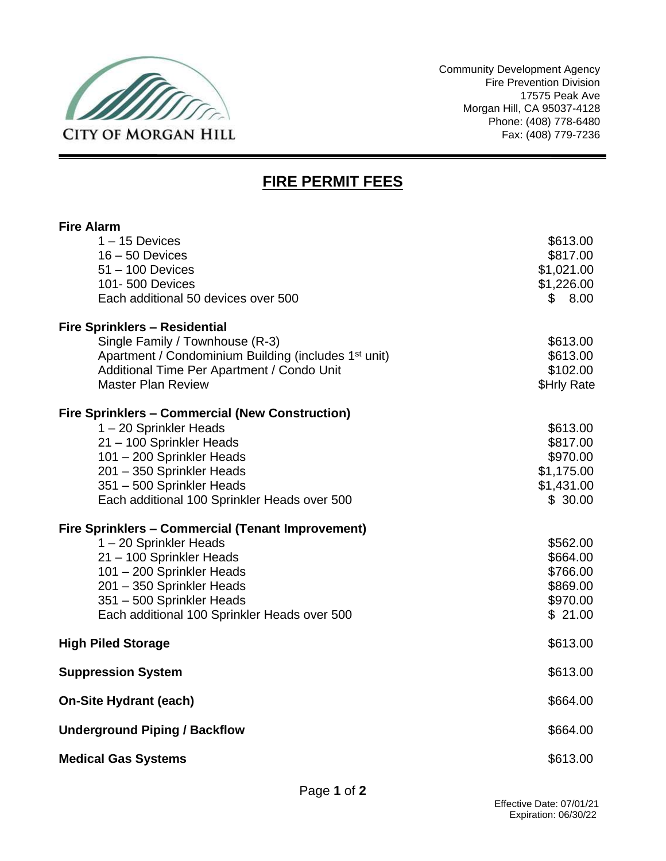

Community Development Agency Fire Prevention Division 17575 Peak Ave Morgan Hill, CA 95037-4128 Phone: (408) 778-6480 Fax: (408) 779-7236

--

## **FIRE PERMIT FEES**

| <b>Fire Alarm</b>                                                |             |
|------------------------------------------------------------------|-------------|
| $1 - 15$ Devices                                                 | \$613.00    |
| $16 - 50$ Devices                                                | \$817.00    |
| $51 - 100$ Devices                                               | \$1,021.00  |
| 101-500 Devices                                                  | \$1,226.00  |
| Each additional 50 devices over 500                              | \$8.00      |
| <b>Fire Sprinklers - Residential</b>                             |             |
| Single Family / Townhouse (R-3)                                  | \$613.00    |
| Apartment / Condominium Building (includes 1 <sup>st</sup> unit) | \$613.00    |
| Additional Time Per Apartment / Condo Unit                       | \$102.00    |
| <b>Master Plan Review</b>                                        | \$Hrly Rate |
| <b>Fire Sprinklers - Commercial (New Construction)</b>           |             |
| 1-20 Sprinkler Heads                                             | \$613.00    |
| 21 - 100 Sprinkler Heads                                         | \$817.00    |
| 101 - 200 Sprinkler Heads                                        | \$970.00    |
| 201 - 350 Sprinkler Heads                                        | \$1,175.00  |
| 351 - 500 Sprinkler Heads                                        | \$1,431.00  |
| Each additional 100 Sprinkler Heads over 500                     | \$30.00     |
| Fire Sprinklers - Commercial (Tenant Improvement)                |             |
| 1-20 Sprinkler Heads                                             | \$562.00    |
| 21 - 100 Sprinkler Heads                                         | \$664.00    |
| 101 - 200 Sprinkler Heads                                        | \$766.00    |
| 201 - 350 Sprinkler Heads                                        | \$869.00    |
| 351 - 500 Sprinkler Heads                                        | \$970.00    |
| Each additional 100 Sprinkler Heads over 500                     | \$21.00     |
| <b>High Piled Storage</b>                                        | \$613.00    |
| <b>Suppression System</b>                                        | \$613.00    |
| <b>On-Site Hydrant (each)</b>                                    | \$664.00    |
| <b>Underground Piping / Backflow</b>                             | \$664.00    |
| <b>Medical Gas Systems</b>                                       | \$613.00    |